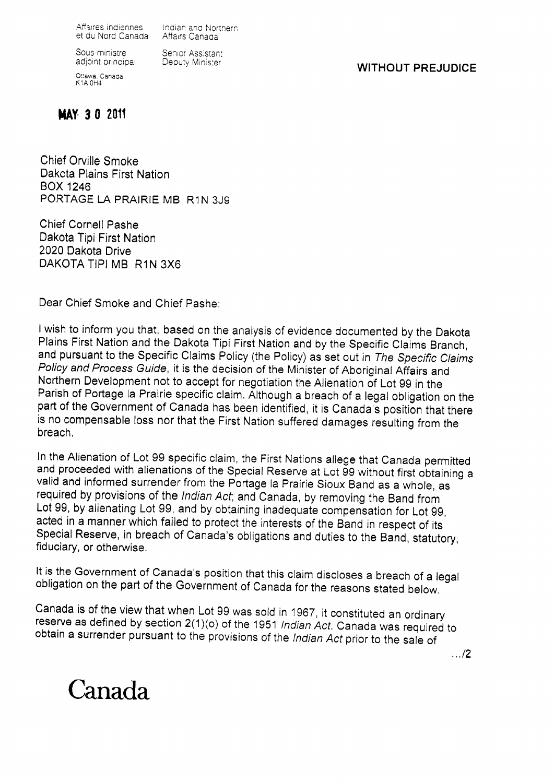Affaires indiennes Indian and Nor<br>et du Nord Canada Affairs Canada

Indian and Northern

Sous-ministre adjoint principai

Ottawa, Canada K1A OH4

Senior Assistant Deputy Minister

**WITHOUT PREJUDICE** 

## **MAY 30 2011**

Chief Orville Smoke Dakota Plains First Nation **BOX 1246** PORTAGE LA PRAIRIE MB R1N 3J9

**Chief Cornell Pashe** Dakota Tipi First Nation 2020 Dakota Drive DAKOTA TIPI MB R1N 3X6

Dear Chief Smoke and Chief Pasher

I wish to inform you that, based on the analysis of evidence documented by the Dakota Plains First Nation and the Dakota Tipi First Nation and by the Specific Claims Branch, and pursuant to the Specific Claims Policy (the Policy) as set out in The Specific Claims Policy and Process Guide, it is the decision of the Minister of Aboriginal Affairs and Northern Development not to accept for negotiation the Alienation of Lot 99 in the Parish of Portage la Prairie specific claim. Although a breach of a legal obligation on the part of the Government of Canada has been identified, it is Canada's position that there is no compensable loss nor that the First Nation suffered damages resulting from the breach.

In the Alienation of Lot 99 specific claim, the First Nations allege that Canada permitted and proceeded with alienations of the Special Reserve at Lot 99 without first obtaining a valid and informed surrender from the Portage la Prairie Sioux Band as a whole, as required by provisions of the Indian Act; and Canada, by removing the Band from Lot 99, by alienating Lot 99, and by obtaining inadequate compensation for Lot 99, acted in a manner which failed to protect the interests of the Band in respect of its Special Reserve, in breach of Canada's obligations and duties to the Band, statutory, fiduciary, or otherwise.

It is the Government of Canada's position that this claim discloses a breach of a legal obligation on the part of the Government of Canada for the reasons stated below.

Canada is of the view that when Lot 99 was sold in 1967, it constituted an ordinary reserve as defined by section 2(1)(o) of the 1951 Indian Act. Canada was required to obtain a surrender pursuant to the provisions of the Indian Act prior to the sale of

 $\ldots$ /2